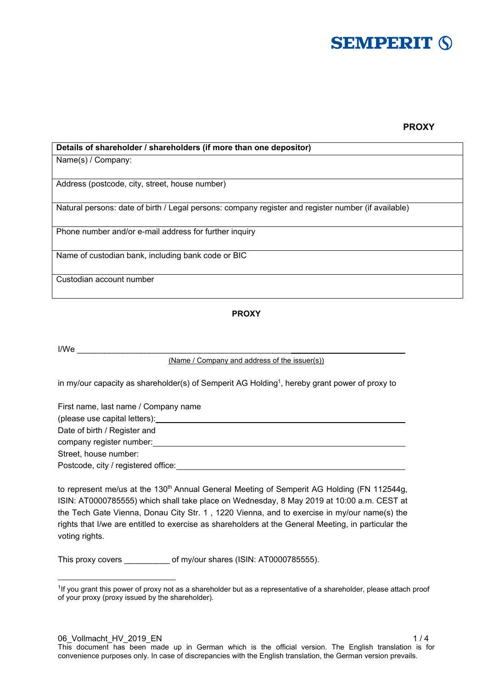

# **PROXY**

| Details of shareholder / shareholders (if more than one depositor)                                  |
|-----------------------------------------------------------------------------------------------------|
| Name(s) / Company:                                                                                  |
|                                                                                                     |
| Address (postcode, city, street, house number)                                                      |
| Natural persons: date of birth / Legal persons: company register and register number (if available) |
| Phone number and/or e-mail address for further inquiry                                              |
| Name of custodian bank, including bank code or BIC                                                  |
| Custodian account number                                                                            |

## **PROXY**

 $\sf{I/We}$ 

-

(Name / Company and address of the issuer(s))

in my/our capacity as shareholder(s) of Semperit AG Holding1, hereby grant power of proxy to

| First name, last name / Company name |  |
|--------------------------------------|--|
| (please use capital letters):        |  |
| Date of birth / Register and         |  |
| company register number:             |  |
| Street, house number:                |  |
| Postcode, city / registered office:  |  |

to represent me/us at the 130<sup>th</sup> Annual General Meeting of Semperit AG Holding (FN 112544g, ISIN: AT0000785555) which shall take place on Wednesday, 8 May 2019 at 10:00 a.m. CEST at the Tech Gate Vienna, Donau City Str. 1 , 1220 Vienna, and to exercise in my/our name(s) the rights that I/we are entitled to exercise as shareholders at the General Meeting, in particular the voting rights.

This proxy covers of my/our shares (ISIN: AT0000785555).

<sup>&</sup>lt;sup>1</sup>If you grant this power of proxy not as a shareholder but as a representative of a shareholder, please attach proof of your proxy (proxy issued by the shareholder).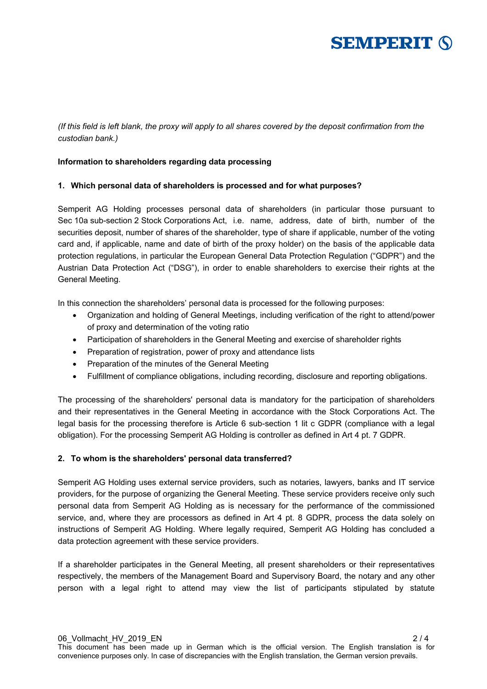

## *(If this field is left blank, the proxy will apply to all shares covered by the deposit confirmation from the custodian bank.)*

### **Information to shareholders regarding data processing**

### **1. Which personal data of shareholders is processed and for what purposes?**

Semperit AG Holding processes personal data of shareholders (in particular those pursuant to Sec 10a sub-section 2 Stock Corporations Act, i.e. name, address, date of birth, number of the securities deposit, number of shares of the shareholder, type of share if applicable, number of the voting card and, if applicable, name and date of birth of the proxy holder) on the basis of the applicable data protection regulations, in particular the European General Data Protection Regulation ("GDPR") and the Austrian Data Protection Act ("DSG"), in order to enable shareholders to exercise their rights at the General Meeting.

In this connection the shareholders' personal data is processed for the following purposes:

- Organization and holding of General Meetings, including verification of the right to attend/power of proxy and determination of the voting ratio
- Participation of shareholders in the General Meeting and exercise of shareholder rights
- Preparation of registration, power of proxy and attendance lists
- Preparation of the minutes of the General Meeting
- Fulfillment of compliance obligations, including recording, disclosure and reporting obligations.

The processing of the shareholders' personal data is mandatory for the participation of shareholders and their representatives in the General Meeting in accordance with the Stock Corporations Act. The legal basis for the processing therefore is Article 6 sub-section 1 lit c GDPR (compliance with a legal obligation). For the processing Semperit AG Holding is controller as defined in Art 4 pt. 7 GDPR.

#### **2. To whom is the shareholders' personal data transferred?**

Semperit AG Holding uses external service providers, such as notaries, lawyers, banks and IT service providers, for the purpose of organizing the General Meeting. These service providers receive only such personal data from Semperit AG Holding as is necessary for the performance of the commissioned service, and, where they are processors as defined in Art 4 pt. 8 GDPR, process the data solely on instructions of Semperit AG Holding. Where legally required, Semperit AG Holding has concluded a data protection agreement with these service providers.

If a shareholder participates in the General Meeting, all present shareholders or their representatives respectively, the members of the Management Board and Supervisory Board, the notary and any other person with a legal right to attend may view the list of participants stipulated by statute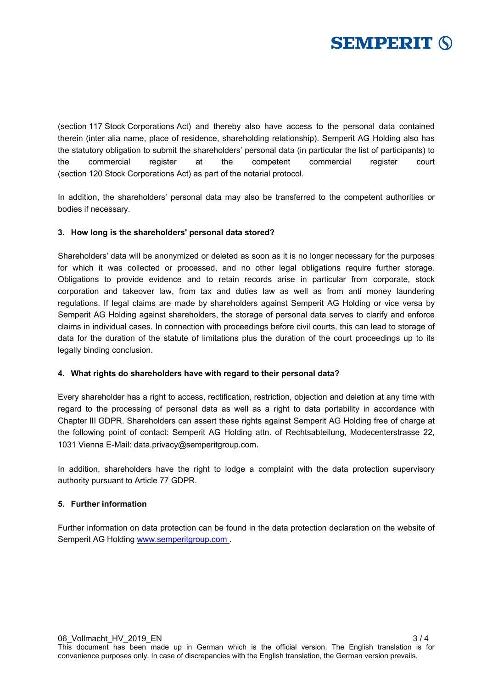

(section 117 Stock Corporations Act) and thereby also have access to the personal data contained therein (inter alia name, place of residence, shareholding relationship). Semperit AG Holding also has the statutory obligation to submit the shareholders' personal data (in particular the list of participants) to the commercial register at the competent commercial register court (section 120 Stock Corporations Act) as part of the notarial protocol.

In addition, the shareholders' personal data may also be transferred to the competent authorities or bodies if necessary.

## **3. How long is the shareholders' personal data stored?**

Shareholders' data will be anonymized or deleted as soon as it is no longer necessary for the purposes for which it was collected or processed, and no other legal obligations require further storage. Obligations to provide evidence and to retain records arise in particular from corporate, stock corporation and takeover law, from tax and duties law as well as from anti money laundering regulations. If legal claims are made by shareholders against Semperit AG Holding or vice versa by Semperit AG Holding against shareholders, the storage of personal data serves to clarify and enforce claims in individual cases. In connection with proceedings before civil courts, this can lead to storage of data for the duration of the statute of limitations plus the duration of the court proceedings up to its legally binding conclusion.

#### **4. What rights do shareholders have with regard to their personal data?**

Every shareholder has a right to access, rectification, restriction, objection and deletion at any time with regard to the processing of personal data as well as a right to data portability in accordance with Chapter III GDPR. Shareholders can assert these rights against Semperit AG Holding free of charge at the following point of contact: Semperit AG Holding attn. of Rechtsabteilung, Modecenterstrasse 22, 1031 Vienna E-Mail: data.privacy@semperitgroup.com.

In addition, shareholders have the right to lodge a complaint with the data protection supervisory authority pursuant to Article 77 GDPR.

## **5. Further information**

Further information on data protection can be found in the data protection declaration on the website of Semperit AG Holding www.semperitgroup.com .